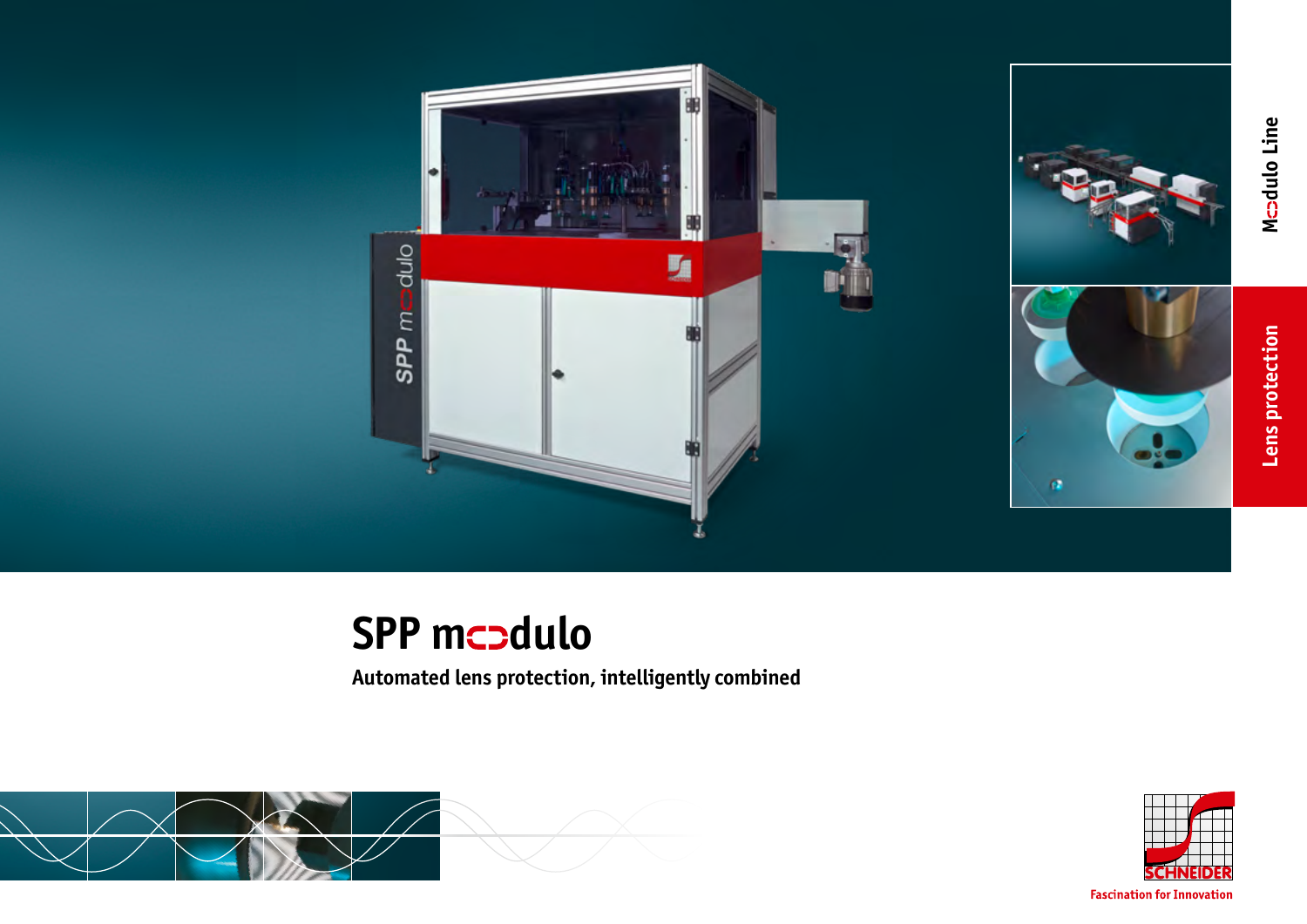



**Lens protection M M M M dulo** Line

Lens protection

Mcadulo Line

## **SPP mcodulo**

**Automated lens protection, intelligently combined**





**Fascination for Innovation**